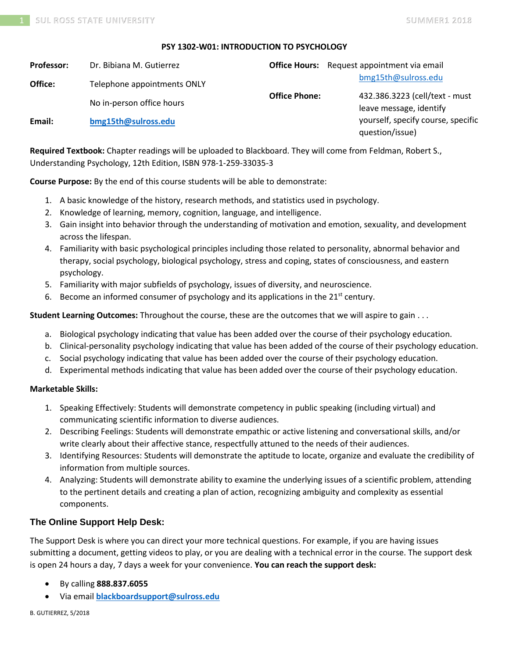### **PSY 1302-W01: INTRODUCTION TO PSYCHOLOGY**

| <b>Professor:</b> | Dr. Bibiana M. Gutierrez    |                      | <b>Office Hours:</b> Request appointment via email        |
|-------------------|-----------------------------|----------------------|-----------------------------------------------------------|
| Office:           | Telephone appointments ONLY |                      | bmg15th@sulross.edu                                       |
|                   | No in-person office hours   | <b>Office Phone:</b> | 432.386.3223 (cell/text - must<br>leave message, identify |
| Email:            | bmg15th@sulross.edu         |                      | yourself, specify course, specific<br>question/issue)     |

**Required Textbook:** Chapter readings will be uploaded to Blackboard. They will come from Feldman, Robert S., Understanding Psychology, 12th Edition, ISBN 978-1-259-33035-3

**Course Purpose:** By the end of this course students will be able to demonstrate:

- 1. A basic knowledge of the history, research methods, and statistics used in psychology.
- 2. Knowledge of learning, memory, cognition, language, and intelligence.
- 3. Gain insight into behavior through the understanding of motivation and emotion, sexuality, and development across the lifespan.
- 4. Familiarity with basic psychological principles including those related to personality, abnormal behavior and therapy, social psychology, biological psychology, stress and coping, states of consciousness, and eastern psychology.
- 5. Familiarity with major subfields of psychology, issues of diversity, and neuroscience.
- 6. Become an informed consumer of psychology and its applications in the  $21^{st}$  century.

**Student Learning Outcomes:** Throughout the course, these are the outcomes that we will aspire to gain . . .

- a. Biological psychology indicating that value has been added over the course of their psychology education.
- b. Clinical-personality psychology indicating that value has been added of the course of their psychology education.
- c. Social psychology indicating that value has been added over the course of their psychology education.
- d. Experimental methods indicating that value has been added over the course of their psychology education.

### **Marketable Skills:**

- 1. Speaking Effectively: Students will demonstrate competency in public speaking (including virtual) and communicating scientific information to diverse audiences.
- 2. Describing Feelings: Students will demonstrate empathic or active listening and conversational skills, and/or write clearly about their affective stance, respectfully attuned to the needs of their audiences.
- 3. Identifying Resources: Students will demonstrate the aptitude to locate, organize and evaluate the credibility of information from multiple sources.
- 4. Analyzing: Students will demonstrate ability to examine the underlying issues of a scientific problem, attending to the pertinent details and creating a plan of action, recognizing ambiguity and complexity as essential components.

## **The Online Support Help Desk:**

The Support Desk is where you can direct your more technical questions. For example, if you are having issues submitting a document, getting videos to play, or you are dealing with a technical error in the course. The support desk is open 24 hours a day, 7 days a week for your convenience. **You can reach the support desk:**

- By calling **888.837.6055**
- Via email **[blackboardsupport@sulross.edu](mailto:blackboardsupport@sulross.edu)**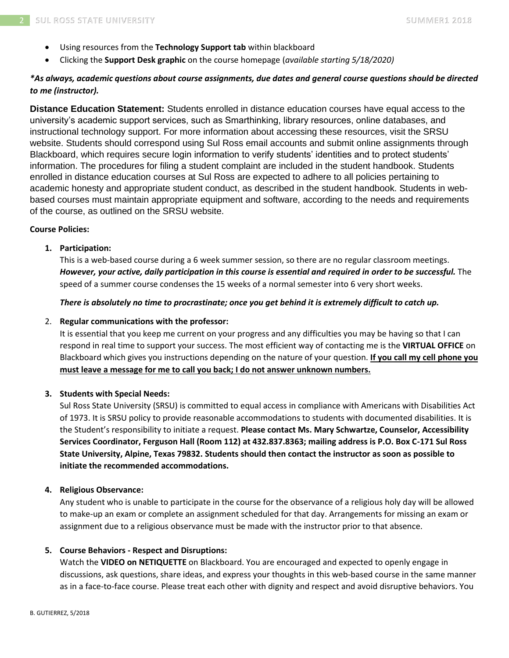- Using resources from the **Technology Support tab** within blackboard
- Clicking the **Support Desk graphic** on the course homepage (*available starting 5/18/2020)*

# *\*As always, academic questions about course assignments, due dates and general course questions should be directed to me (instructor).*

**Distance Education Statement:** Students enrolled in distance education courses have equal access to the university's academic support services, such as Smarthinking, library resources, online databases, and instructional technology support. For more information about accessing these resources, visit the SRSU website. Students should correspond using Sul Ross email accounts and submit online assignments through Blackboard, which requires secure login information to verify students' identities and to protect students' information. The procedures for filing a student complaint are included in the student handbook. Students enrolled in distance education courses at Sul Ross are expected to adhere to all policies pertaining to academic honesty and appropriate student conduct, as described in the student handbook. Students in webbased courses must maintain appropriate equipment and software, according to the needs and requirements of the course, as outlined on the SRSU website.

## **Course Policies:**

### **1. Participation:**

This is a web-based course during a 6 week summer session, so there are no regular classroom meetings. *However, your active, daily participation in this course is essential and required in order to be successful.* The speed of a summer course condenses the 15 weeks of a normal semester into 6 very short weeks.

#### *There is absolutely no time to procrastinate; once you get behind it is extremely difficult to catch up.*

### 2. **Regular communications with the professor:**

It is essential that you keep me current on your progress and any difficulties you may be having so that I can respond in real time to support your success. The most efficient way of contacting me is the **VIRTUAL OFFICE** on Blackboard which gives you instructions depending on the nature of your question. **If you call my cell phone you must leave a message for me to call you back; I do not answer unknown numbers.**

### **3. Students with Special Needs:**

Sul Ross State University (SRSU) is committed to equal access in compliance with Americans with Disabilities Act of 1973. It is SRSU policy to provide reasonable accommodations to students with documented disabilities. It is the Student's responsibility to initiate a request. **Please contact Ms. Mary Schwartze, Counselor, Accessibility Services Coordinator, Ferguson Hall (Room 112) at 432.837.8363; mailing address is P.O. Box C-171 Sul Ross State University, Alpine, Texas 79832. Students should then contact the instructor as soon as possible to initiate the recommended accommodations.**

#### **4. Religious Observance:**

Any student who is unable to participate in the course for the observance of a religious holy day will be allowed to make-up an exam or complete an assignment scheduled for that day. Arrangements for missing an exam or assignment due to a religious observance must be made with the instructor prior to that absence.

### **5. Course Behaviors - Respect and Disruptions:**

Watch the **VIDEO on NETIQUETTE** on Blackboard. You are encouraged and expected to openly engage in discussions, ask questions, share ideas, and express your thoughts in this web-based course in the same manner as in a face-to-face course. Please treat each other with dignity and respect and avoid disruptive behaviors. You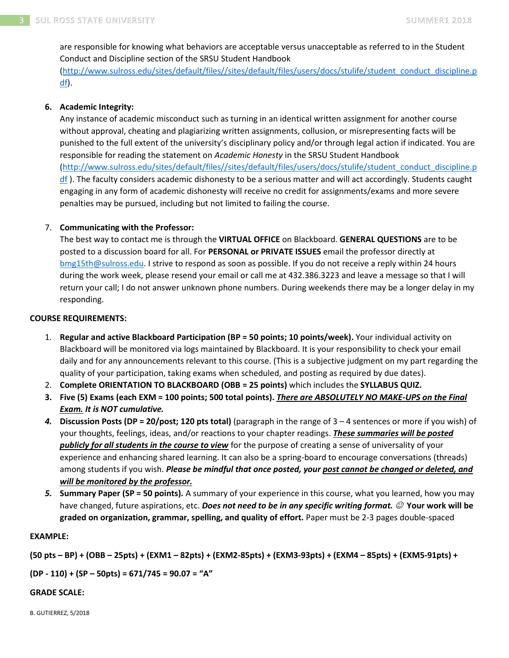are responsible for knowing what behaviors are acceptable versus unacceptable as referred to in the Student Conduct and Discipline section of the SRSU Student Handbook [\(http://www.sulross.edu/sites/default/files//sites/default/files/users/docs/stulife/student\\_conduct\\_discipline.p](http://www.sulross.edu/sites/default/files/sites/default/files/users/docs/stulife/student_conduct_discipline.pdf) [df\)](http://www.sulross.edu/sites/default/files/sites/default/files/users/docs/stulife/student_conduct_discipline.pdf).

## **6. Academic Integrity:**

Any instance of academic misconduct such as turning in an identical written assignment for another course without approval, cheating and plagiarizing written assignments, collusion, or misrepresenting facts will be punished to the full extent of the university's disciplinary policy and/or through legal action if indicated. You are responsible for reading the statement on *Academic Honesty* in the SRSU Student Handbook [\(http://www.sulross.edu/sites/default/files//sites/default/files/users/docs/stulife/student\\_conduct\\_discipline.p](http://www.sulross.edu/sites/default/files/sites/default/files/users/docs/stulife/student_conduct_discipline.pdf) [df](http://www.sulross.edu/sites/default/files/sites/default/files/users/docs/stulife/student_conduct_discipline.pdf) ). The faculty considers academic dishonesty to be a serious matter and will act accordingly. Students caught engaging in any form of academic dishonesty will receive no credit for assignments/exams and more severe penalties may be pursued, including but not limited to failing the course.

## 7. **Communicating with the Professor:**

The best way to contact me is through the **VIRTUAL OFFICE** on Blackboard. **GENERAL QUESTIONS** are to be posted to a discussion board for all. For **PERSONAL or PRIVATE ISSUES** email the professor directly at [bmg15th@sulross.edu.](mailto:bmg15th@sulross.edu) I strive to respond as soon as possible. If you do not receive a reply within 24 hours during the work week, please resend your email or call me at 432.386.3223 and leave a message so that I will return your call; I do not answer unknown phone numbers. During weekends there may be a longer delay in my responding.

### **COURSE REQUIREMENTS:**

- 1. **Regular and active Blackboard Participation (BP = 50 points; 10 points/week).** Your individual activity on Blackboard will be monitored via logs maintained by Blackboard. It is your responsibility to check your email daily and for any announcements relevant to this course. (This is a subjective judgment on my part regarding the quality of your participation, taking exams when scheduled, and posting as required by due dates).
- 2. **Complete ORIENTATION TO BLACKBOARD (OBB = 25 points)** which includes the **SYLLABUS QUIZ.**
- **3. Five (5) Exams (each EXM = 100 points; 500 total points).** *There are ABSOLUTELY NO MAKE-UPS on the Final Exam. It is NOT cumulative.*
- *4.* **Discussion Posts (DP = 20/post; 120 pts total)** (paragraph in the range of 3 4 sentences or more if you wish) of your thoughts, feelings, ideas, and/or reactions to your chapter readings. *These summaries will be posted publicly for all students in the course to view* for the purpose of creating a sense of universality of your experience and enhancing shared learning. It can also be a spring-board to encourage conversations (threads) among students if you wish. *Please be mindful that once posted, your post cannot be changed or deleted, and will be monitored by the professor.*
- *5.* **Summary Paper (SP = 50 points).** A summary of your experience in this course, what you learned, how you may have changed, future aspirations, etc. *Does not need to be in any specific writing format.* ☺ **Your work will be graded on organization, grammar, spelling, and quality of effort.** Paper must be 2-3 pages double-spaced

### **EXAMPLE:**

**(50 pts – BP) + (OBB – 25pts) + (EXM1 – 82pts) + (EXM2-85pts) + (EXM3-93pts) + (EXM4 – 85pts) + (EXM5-91pts) +** 

**(DP - 110) + (SP – 50pts) = 671/745 = 90.07 = "A"**

### **GRADE SCALE:**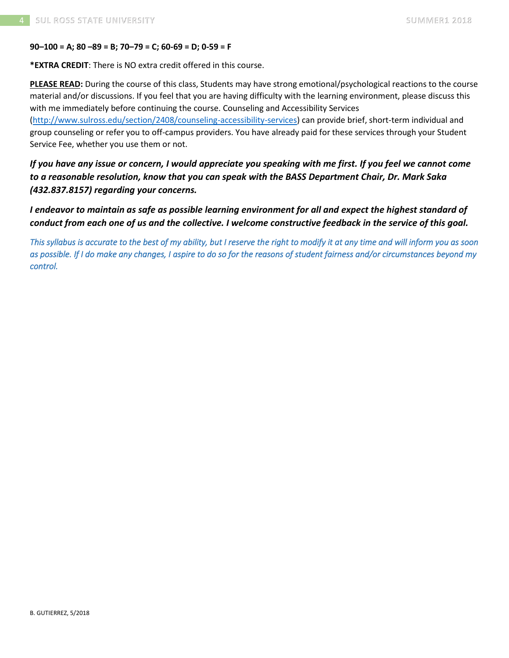### **90–100 = A; 80 –89 = B; 70–79 = C; 60-69 = D; 0-59 = F**

**\*EXTRA CREDIT**: There is NO extra credit offered in this course.

**PLEASE READ:** During the course of this class, Students may have strong emotional/psychological reactions to the course material and/or discussions. If you feel that you are having difficulty with the learning environment, please discuss this with me immediately before continuing the course. Counseling and Accessibility Services

[\(http://www.sulross.edu/section/2408/counseling-accessibility-services\)](http://www.sulross.edu/section/2408/counseling-accessibility-services) can provide brief, short-term individual and group counseling or refer you to off-campus providers. You have already paid for these services through your Student Service Fee, whether you use them or not.

*If you have any issue or concern, I would appreciate you speaking with me first. If you feel we cannot come to a reasonable resolution, know that you can speak with the BASS Department Chair, Dr. Mark Saka (432.837.8157) regarding your concerns.*

*I endeavor to maintain as safe as possible learning environment for all and expect the highest standard of conduct from each one of us and the collective. I welcome constructive feedback in the service of this goal.*

*This syllabus is accurate to the best of my ability, but I reserve the right to modify it at any time and will inform you as soon as possible. If I do make any changes, I aspire to do so for the reasons of student fairness and/or circumstances beyond my control.*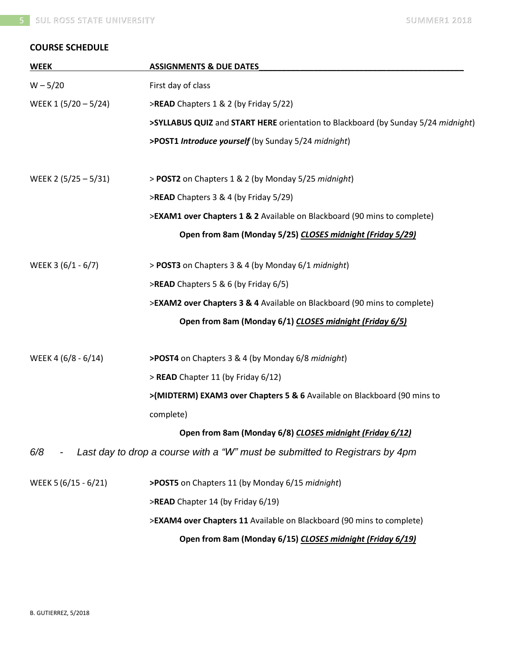# **COURSE SCHEDULE**

| <b>WEEK</b>          | <b>ASSIGNMENTS &amp; DUE DATES</b>                                                |  |  |
|----------------------|-----------------------------------------------------------------------------------|--|--|
| $W - 5/20$           | First day of class                                                                |  |  |
| WEEK 1 (5/20 - 5/24) | >READ Chapters 1 & 2 (by Friday 5/22)                                             |  |  |
|                      | >SYLLABUS QUIZ and START HERE orientation to Blackboard (by Sunday 5/24 midnight) |  |  |
|                      | >POST1 Introduce yourself (by Sunday 5/24 midnight)                               |  |  |
| WEEK 2 (5/25 - 5/31) | > POST2 on Chapters 1 & 2 (by Monday 5/25 midnight)                               |  |  |
|                      | >READ Chapters 3 & 4 (by Friday 5/29)                                             |  |  |
|                      | >EXAM1 over Chapters 1 & 2 Available on Blackboard (90 mins to complete)          |  |  |
|                      | Open from 8am (Monday 5/25) CLOSES midnight (Friday 5/29)                         |  |  |
| WEEK 3 (6/1 - 6/7)   | > POST3 on Chapters 3 & 4 (by Monday 6/1 midnight)                                |  |  |
|                      | >READ Chapters 5 & 6 (by Friday 6/5)                                              |  |  |
|                      | >EXAM2 over Chapters 3 & 4 Available on Blackboard (90 mins to complete)          |  |  |
|                      | Open from 8am (Monday 6/1) CLOSES midnight (Friday 6/5)                           |  |  |
| WEEK 4 (6/8 - 6/14)  | >POST4 on Chapters 3 & 4 (by Monday 6/8 midnight)                                 |  |  |
|                      | > READ Chapter 11 (by Friday 6/12)                                                |  |  |
|                      | >(MIDTERM) EXAM3 over Chapters 5 & 6 Available on Blackboard (90 mins to          |  |  |
|                      | complete)                                                                         |  |  |
|                      | Open from 8am (Monday 6/8) CLOSES midnight (Friday 6/12)                          |  |  |
| 6/8                  | Last day to drop a course with a "W" must be submitted to Registrars by 4pm       |  |  |
| WEEK 5 (6/15 - 6/21) | >POST5 on Chapters 11 (by Monday 6/15 midnight)                                   |  |  |
|                      | >READ Chapter 14 (by Friday 6/19)                                                 |  |  |
|                      | >EXAM4 over Chapters 11 Available on Blackboard (90 mins to complete)             |  |  |
|                      | Open from 8am (Monday 6/15) CLOSES midnight (Friday 6/19)                         |  |  |